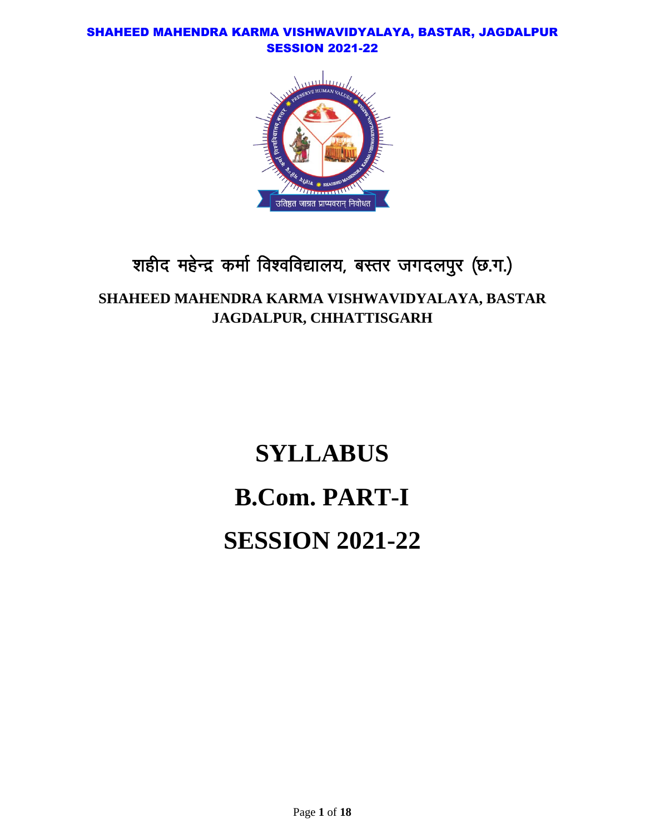

## शहीद महेन्द्र कर्मा विश्वविद्यालय, बस्तर जगदलपुर (छ.ग.)

## **SHAHEED MAHENDRA KARMA VISHWAVIDYALAYA, BASTAR JAGDALPUR, CHHATTISGARH**

# **SYLLABUS B.Com. PART-I SESSION 2021-22**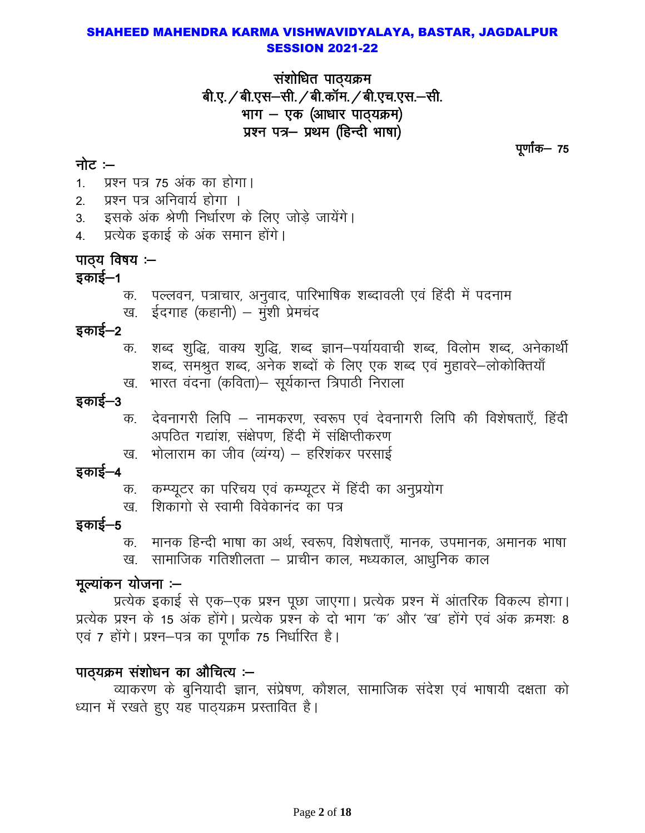संशोधित पाठ्यक्रम बी.ए. / बी.एस-सी. / बी.कॉम. / बी.एच.एस.-सी. भाग - एक (आधार पाठ्यक्रम) प्रश्न पत्र- प्रथम (हिन्दी भाषा)

पूर्णांक— 75

## नोट:-

प्रश्न पत्र 75 अंक का होगा।  $1 \quad$ 

- प्रश्न पत्र अनिवार्य होगा ।  $2<sub>1</sub>$
- इसके अंक श्रेणी निर्धारण के लिए जोड़े जायेंगे।  $3<sub>1</sub>$
- प्रत्येक इकाई के अंक समान होंगे। 4.

## पाठ्य विषय :-

## इकाई—1

- क. पल्लवन, पत्राचार, अनुवाद, पारिभाषिक शब्दावली एवं हिंदी में पदनाम
- ख. ईदगाह (कहानी) मुंशी प्रेमचंद

#### इकाई—2

- शब्द शुद्धि, वाक्य शुद्धि, शब्द ज्ञान-पर्यायवाची शब्द, विलोम शब्द, अनेकार्थी क. शब्द, समश्रुत शब्द, अनेक शब्दों के लिए एक शब्द एवं मुहावरे-लोकोक्तियाँ
- भारत वंदना (कविता)– सूर्यकान्त त्रिपाठी निराला ख.

## इकाई–3

- देवनागरी लिपि नामकरण, स्वरूप एवं देवनागरी लिपि की विशेषताएँ, हिंदी क. अपठित गद्यांश, संक्षेपण, हिंदी में संक्षिप्तीकरण
- भोलाराम का जीव (व्यंग्य) हरिशंकर परसाई ख.

## इकाई–4

- क. कम्प्यूटर का परिचय एवं कम्प्यूटर में हिंदी का अनुप्रयोग
- शिकांगो से स्वामी विवेकानंद का पत्र ख

#### इकाई—5

मानक हिन्दी भाषा का अर्थ, स्वरूप, विशेषताएँ, मानक, उपमानक, अमानक भाषा क. ख. सामाजिक गतिशीलता – प्राचीन काल, मध्यकाल, आधुनिक काल

#### मूल्यांकन योजना :--

प्रत्येक इकाई से एक–एक प्रश्न पूछा जाएगा। प्रत्येक प्रश्न में आंतरिक विकल्प होगा। प्रत्येक प्रश्न के 15 अंक होंगे। प्रत्येक प्रश्न के दो भाग 'क' और 'ख' होंगे एवं अंक क्रमशः 8 एवं 7 होंगे। प्रश्न–पत्र का पर्णांक 75 निर्धारित है।

## पाठ्यक्रम संशोधन का औचित्य :–

व्याकरण के बुनियादी ज्ञान, संप्रेषण, कौशल, सामाजिक संदेश एवं भाषायी दक्षता को ध्यान में रखते हुए यह पाठ्यक्रम प्रस्तावित है।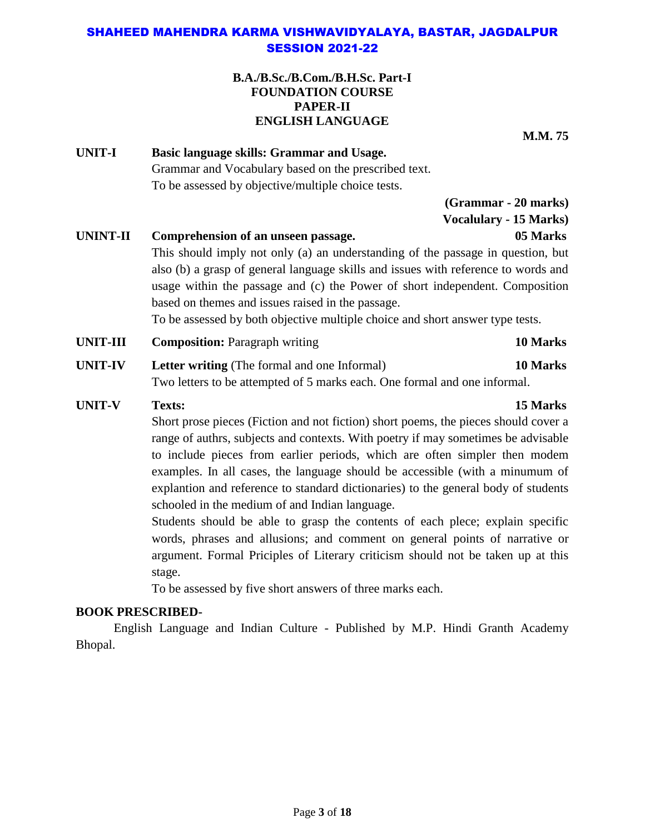#### **B.A./B.Sc./B.Com./B.H.Sc. Part-I FOUNDATION COURSE PAPER-II ENGLISH LANGUAGE**

**M.M. 75**

**UNIT-I Basic language skills: Grammar and Usage.** Grammar and Vocabulary based on the prescribed text. To be assessed by objective/multiple choice tests.

> **(Grammar - 20 marks) Vocalulary - 15 Marks)**

### **UNINT-II Comprehension of an unseen passage. 05 Marks**

This should imply not only (a) an understanding of the passage in question, but also (b) a grasp of general language skills and issues with reference to words and usage within the passage and (c) the Power of short independent. Composition based on themes and issues raised in the passage.

To be assessed by both objective multiple choice and short answer type tests.

- **UNIT-III Composition:** Paragraph writing **10 Marks**
- **UNIT-IV Letter writing** (The formal and one Informal) **10 Marks** Two letters to be attempted of 5 marks each. One formal and one informal.
- **UNIT-V Texts: 15 Marks**

Short prose pieces (Fiction and not fiction) short poems, the pieces should cover a range of authrs, subjects and contexts. With poetry if may sometimes be advisable to include pieces from earlier periods, which are often simpler then modem examples. In all cases, the language should be accessible (with a minumum of explantion and reference to standard dictionaries) to the general body of students schooled in the medium of and Indian language.

Students should be able to grasp the contents of each plece; explain specific words, phrases and allusions; and comment on general points of narrative or argument. Formal Priciples of Literary criticism should not be taken up at this stage.

To be assessed by five short answers of three marks each.

#### **BOOK PRESCRIBED-**

English Language and Indian Culture - Published by M.P. Hindi Granth Academy Bhopal.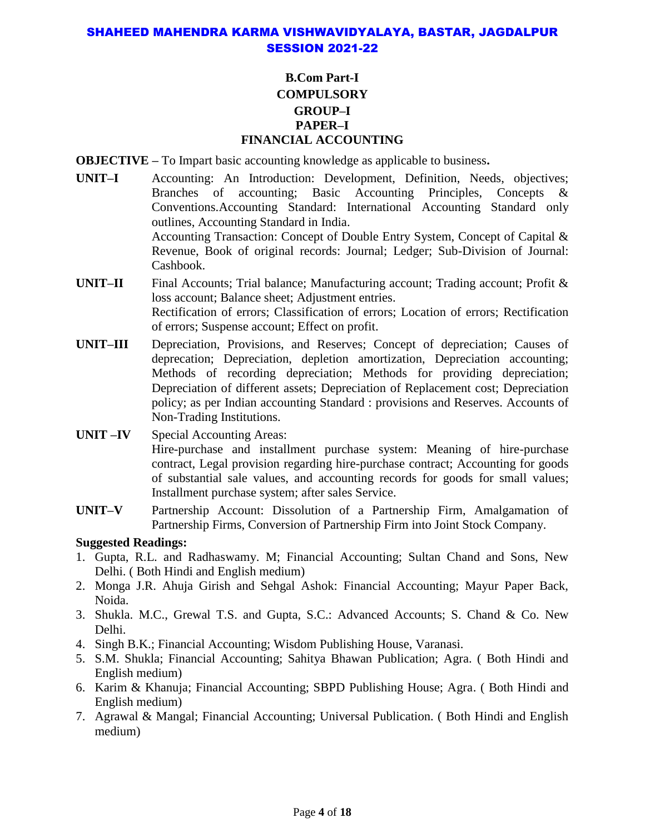#### **B.Com Part-I COMPULSORY GROUP–I PAPER–I FINANCIAL ACCOUNTING**

**OBJECTIVE –** To Impart basic accounting knowledge as applicable to business**.**

- **UNIT–I** Accounting: An Introduction: Development, Definition, Needs, objectives; Branches of accounting; Basic Accounting Principles, Concepts & Conventions.Accounting Standard: International Accounting Standard only outlines, Accounting Standard in India. Accounting Transaction: Concept of Double Entry System, Concept of Capital & Revenue, Book of original records: Journal; Ledger; Sub-Division of Journal: Cashbook.
- **UNIT–II** Final Accounts; Trial balance; Manufacturing account; Trading account; Profit & loss account; Balance sheet; Adjustment entries. Rectification of errors; Classification of errors; Location of errors; Rectification of errors; Suspense account; Effect on profit.
- **UNIT–III** Depreciation, Provisions, and Reserves; Concept of depreciation; Causes of deprecation; Depreciation, depletion amortization, Depreciation accounting; Methods of recording depreciation; Methods for providing depreciation; Depreciation of different assets; Depreciation of Replacement cost; Depreciation policy; as per Indian accounting Standard : provisions and Reserves. Accounts of Non-Trading Institutions.

**UNIT –IV** Special Accounting Areas: Hire-purchase and installment purchase system: Meaning of hire-purchase contract, Legal provision regarding hire-purchase contract; Accounting for goods of substantial sale values, and accounting records for goods for small values; Installment purchase system; after sales Service.

**UNIT–V** Partnership Account: Dissolution of a Partnership Firm, Amalgamation of Partnership Firms, Conversion of Partnership Firm into Joint Stock Company.

- 1. Gupta, R.L. and Radhaswamy. M; Financial Accounting; Sultan Chand and Sons, New Delhi. ( Both Hindi and English medium)
- 2. Monga J.R. Ahuja Girish and Sehgal Ashok: Financial Accounting; Mayur Paper Back, Noida.
- 3. Shukla. M.C., Grewal T.S. and Gupta, S.C.: Advanced Accounts; S. Chand & Co. New Delhi.
- 4. Singh B.K.; Financial Accounting; Wisdom Publishing House, Varanasi.
- 5. S.M. Shukla; Financial Accounting; Sahitya Bhawan Publication; Agra. ( Both Hindi and English medium)
- 6. Karim & Khanuja; Financial Accounting; SBPD Publishing House; Agra. ( Both Hindi and English medium)
- 7. Agrawal & Mangal; Financial Accounting; Universal Publication. ( Both Hindi and English medium)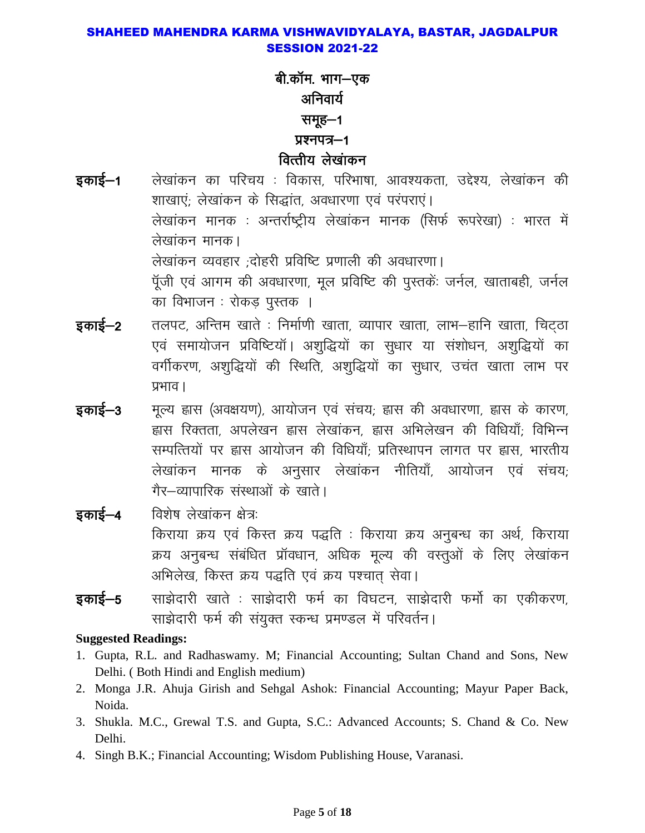## बी.कॉम. भाग—एक अनिवार्य समूह-1 प्रश्नपत्र-1 वित्तीय लेखांकन

- लेखांकन का परिचय : विकास, परिभाषा, आवश्यकता, उद्देश्य, लेखांकन की इकाई—1 शाखाएं; लेखांकन के सिद्धांत, अवधारणा एवं परंपराएं। लेखांकन मानक : अन्तर्राष्ट्रीय लेखांकन मानक (सिर्फ रूपरेखा) : भारत में लेखांकन मानक। लेखांकन व्यवहार ;दोहरी प्रविष्टि प्रणाली की अवधारणा। पूँजी एवं आगम की अवधारणा, मूल प्रविष्टि की पुस्तकें: जर्नल, खाताबही, जर्नल का विभाजन : रोकड पुस्तक ।
- इकाई–2 तलपट, अन्तिम खाते : निर्माणी खाता, व्यापार खाता, लाभ–हानि खाता, चिटठा एवं समायोजन प्रविष्टियाँ। अशुद्धियों का सुधार या संशोधन, अशुद्धियों का वर्गीकरण, अशुद्धियों की स्थिति, अशुद्धियों का सुधार, उचंत खाता लाभ पर प्रभाव ।
- मृत्य ह्वास (अवक्षयण), आयोजन एवं संचय, ह्वास की अवधारणा, ह्वास के कारण, इकाई–3 ह्मस रिक्तता, अपलेखन ह्मस लेखांकन, ह्मस अभिलेखन की विधियाँ; विभिन्न सम्पत्तियों पर ह्वास आयोजन की विधियाँ; प्रतिस्थापन लागत पर ह्वास, भारतीय लेखांकन मानक के अनुसार लेखांकन नीतियाँ, आयोजन एवं संचय; गैर–व्यापारिक संस्थाओं के खाते।
- इकाई—4 विशेष लेखांकन क्षेत्र: किराया क्रय एवं किस्त क्रय पद्धति : किराया क्रय अनुबन्ध का अर्थ, किराया क्रय अनुबन्ध संबंधित प्रॉवधान, अधिक मूल्य की वस्तुओं के लिए लेखांकन अभिलेख, किस्त क्रय पद्धति एवं क्रय पश्चात सेवा।
- साझेदारी खाते : साझेदारी फर्म का विघटन, साझेदारी फर्मो का एकीकरण, इकाई–5 साझेदारी फर्म की संयुक्त स्कन्ध प्रमण्डल में परिवर्तन।

- 1. Gupta, R.L. and Radhaswamy. M; Financial Accounting; Sultan Chand and Sons, New Delhi. (Both Hindi and English medium)
- 2. Monga J.R. Ahuja Girish and Sehgal Ashok: Financial Accounting; Mayur Paper Back, Noida.
- 3. Shukla. M.C., Grewal T.S. and Gupta, S.C.: Advanced Accounts; S. Chand & Co. New Delhi.
- 4. Singh B.K.; Financial Accounting; Wisdom Publishing House, Varanasi.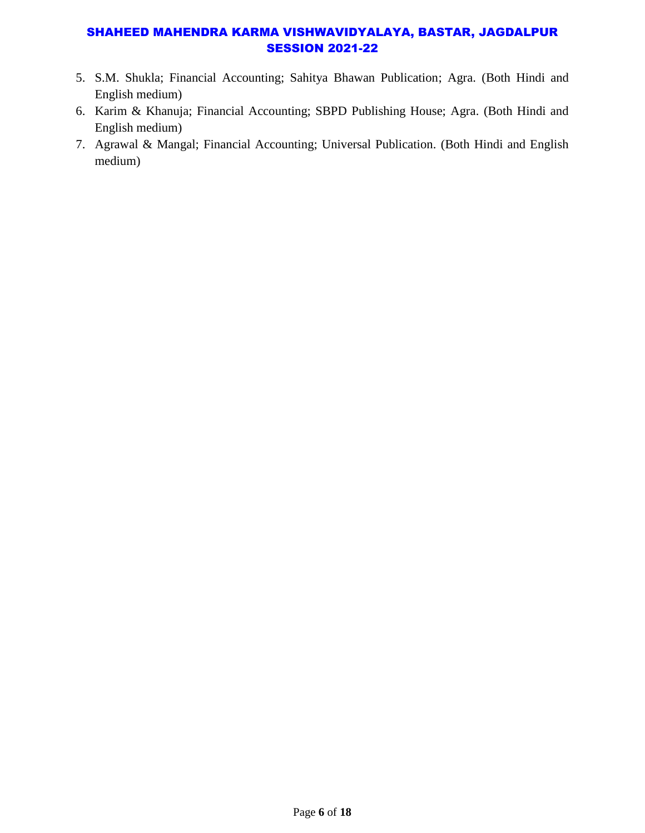- 5. S.M. Shukla; Financial Accounting; Sahitya Bhawan Publication; Agra. (Both Hindi and English medium)
- 6. Karim & Khanuja; Financial Accounting; SBPD Publishing House; Agra. (Both Hindi and English medium)
- 7. Agrawal & Mangal; Financial Accounting; Universal Publication. (Both Hindi and English medium)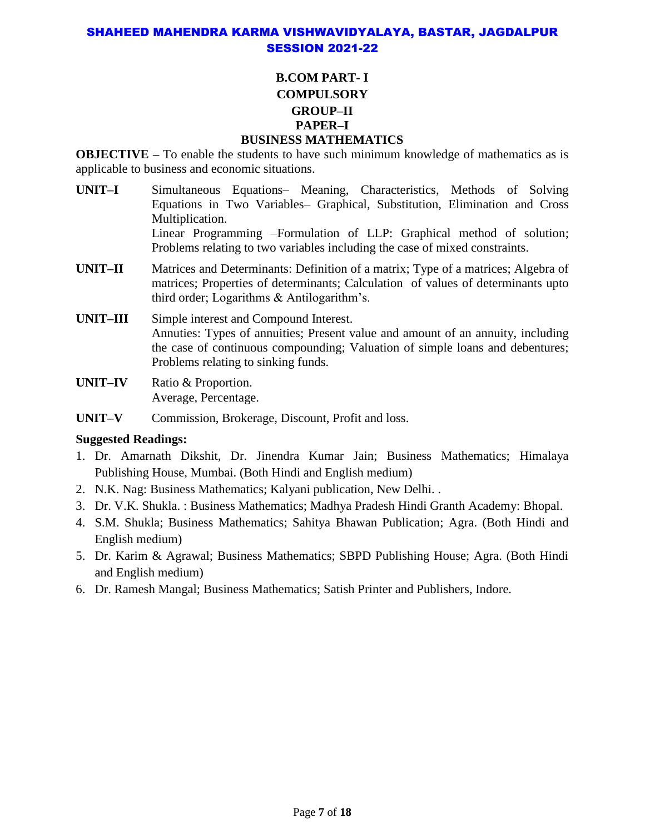## **B.COM PART- I COMPULSORY GROUP–II PAPER–I**

#### **BUSINESS MATHEMATICS**

**OBJECTIVE –** To enable the students to have such minimum knowledge of mathematics as is applicable to business and economic situations.

- **UNIT–I** Simultaneous Equations– Meaning, Characteristics, Methods of Solving Equations in Two Variables– Graphical, Substitution, Elimination and Cross Multiplication. Linear Programming –Formulation of LLP: Graphical method of solution; Problems relating to two variables including the case of mixed constraints.
- **UNIT–II** Matrices and Determinants: Definition of a matrix; Type of a matrices; Algebra of matrices; Properties of determinants; Calculation of values of determinants upto third order; Logarithms & Antilogarithm's.
- **UNIT–III** Simple interest and Compound Interest. Annuties: Types of annuities; Present value and amount of an annuity, including the case of continuous compounding; Valuation of simple loans and debentures; Problems relating to sinking funds.
- **UNIT–IV** Ratio & Proportion. Average, Percentage.
- **UNIT–V** Commission, Brokerage, Discount, Profit and loss.

- 1. Dr. Amarnath Dikshit, Dr. Jinendra Kumar Jain; Business Mathematics; Himalaya Publishing House, Mumbai. (Both Hindi and English medium)
- 2. N.K. Nag: Business Mathematics; Kalyani publication, New Delhi. .
- 3. Dr. V.K. Shukla. : Business Mathematics; Madhya Pradesh Hindi Granth Academy: Bhopal.
- 4. S.M. Shukla; Business Mathematics; Sahitya Bhawan Publication; Agra. (Both Hindi and English medium)
- 5. Dr. Karim & Agrawal; Business Mathematics; SBPD Publishing House; Agra. (Both Hindi and English medium)
- 6. Dr. Ramesh Mangal; Business Mathematics; Satish Printer and Publishers, Indore.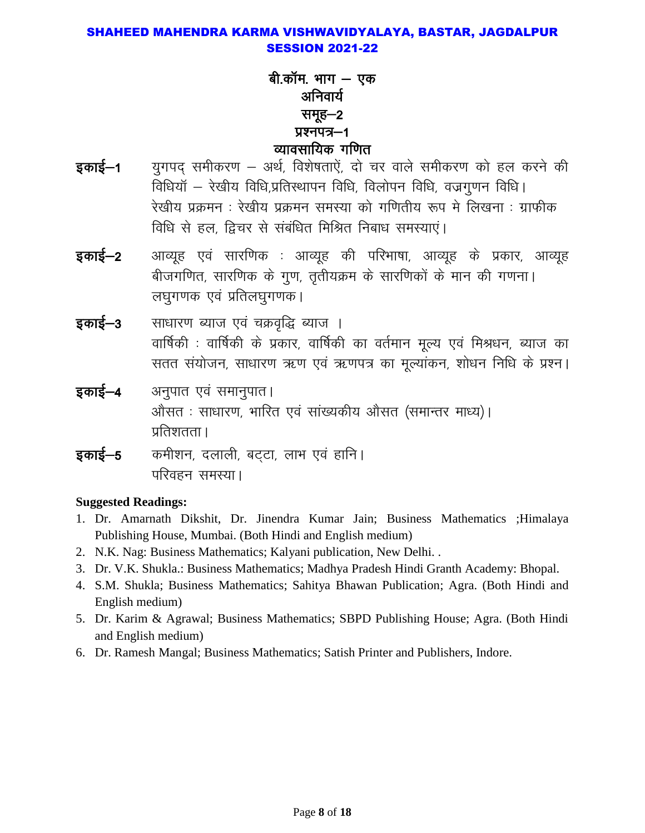बी.कॉम. भाग – एक अनिवार्य समूह—2 प्रश्नपत्र-1 व्यावसायिक गणित

- युगपद समीकरण अर्थ, विशेषताऐं, दो चर वाले समीकरण को हल करने की इकाई—1 विधियाँ – रेखीय विधि,प्रतिस्थापन विधि, विलोपन विधि, वज्रगुणन विधि। रेखीय प्रक्रमन : रेखीय प्रक्रमन समस्या को गणितीय रूप मे लिखना : ग्राफीक विधि से हल, द्विचर से संबंधित मिश्रित निबाध समस्याएं।
- आव्यूह एवं सारणिक : आव्यूह की परिभाषा, आव्यूह के प्रकार, आव्यूह इकाई—2 बीजगणित, सारणिक के गुण, तृतीयक्रम के सारणिकों के मान की गणना। लघुगणक एवं प्रतिलघुगणक।
- साधारण ब्याज एवं चक्रवृद्धि ब्याज । इकाई—3 वार्षिकी : वार्षिकी के प्रकार, वार्षिकी का वर्तमान मूल्य एवं मिश्रधन, ब्याज का सतत संयोजन, साधारण ऋण एवं ऋणपत्र का मूल्यांकन, शोधन निधि के प्रश्न।
- इकाई–4 अनुपात एवं समानुपात। ओसत: साधारण, भारित एवं सांख्यकीय औसत (समान्तर माध्य)। प्रतिशतता ।
- कमीशन, दलाली, बट्टा, लाभ एवं हानि। इकाई–5 परिवहन समस्या।

- 1. Dr. Amarnath Dikshit, Dr. Jinendra Kumar Jain; Business Mathematics ; Himalaya Publishing House, Mumbai. (Both Hindi and English medium)
- 2. N.K. Nag: Business Mathematics; Kalyani publication, New Delhi..
- 3. Dr. V.K. Shukla.: Business Mathematics; Madhya Pradesh Hindi Granth Academy: Bhopal.
- 4. S.M. Shukla; Business Mathematics; Sahitya Bhawan Publication; Agra. (Both Hindi and English medium)
- 5. Dr. Karim & Agrawal; Business Mathematics; SBPD Publishing House; Agra. (Both Hindi) and English medium)
- 6. Dr. Ramesh Mangal; Business Mathematics; Satish Printer and Publishers, Indore.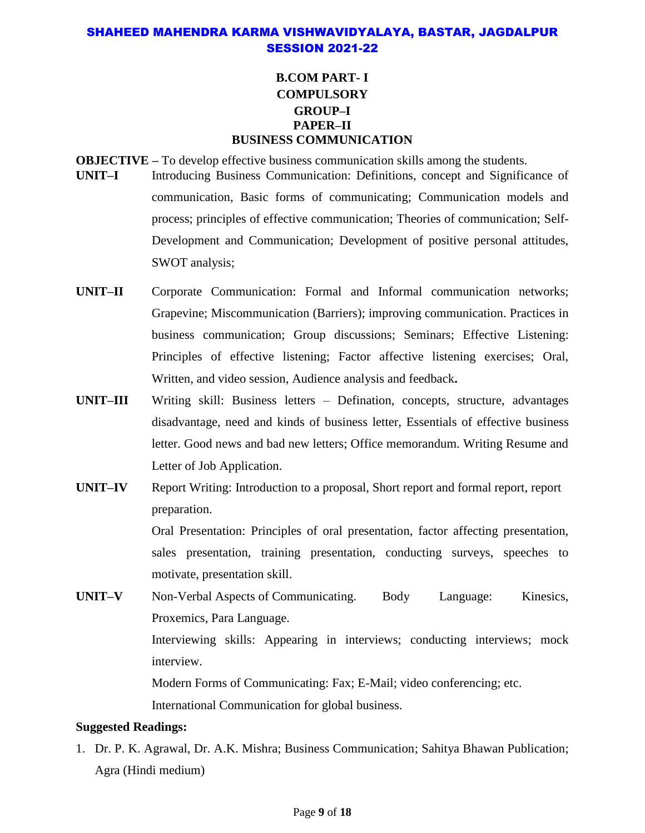#### **B.COM PART- I COMPULSORY GROUP–I PAPER–II BUSINESS COMMUNICATION**

**OBJECTIVE –** To develop effective business communication skills among the students.

- **UNIT–I** Introducing Business Communication: Definitions, concept and Significance of communication, Basic forms of communicating; Communication models and process; principles of effective communication; Theories of communication; Self-Development and Communication; Development of positive personal attitudes, SWOT analysis;
- **UNIT–II** Corporate Communication: Formal and Informal communication networks; Grapevine; Miscommunication (Barriers); improving communication. Practices in business communication; Group discussions; Seminars; Effective Listening: Principles of effective listening; Factor affective listening exercises; Oral, Written, and video session, Audience analysis and feedback**.**
- **UNIT–III** Writing skill: Business letters Defination, concepts, structure, advantages disadvantage, need and kinds of business letter, Essentials of effective business letter. Good news and bad new letters; Office memorandum. Writing Resume and Letter of Job Application.
- **UNIT–IV** Report Writing: Introduction to a proposal, Short report and formal report, report preparation. Oral Presentation: Principles of oral presentation, factor affecting presentation, sales presentation, training presentation, conducting surveys, speeches to motivate, presentation skill.
- UNIT–V Non-Verbal Aspects of Communicating. Body Language: Kinesics, Proxemics, Para Language. Interviewing skills: Appearing in interviews; conducting interviews; mock interview. Modern Forms of Communicating: Fax; E-Mail; video conferencing; etc.

International Communication for global business.

#### **Suggested Readings:**

1. Dr. P. K. Agrawal, Dr. A.K. Mishra; Business Communication; Sahitya Bhawan Publication; Agra (Hindi medium)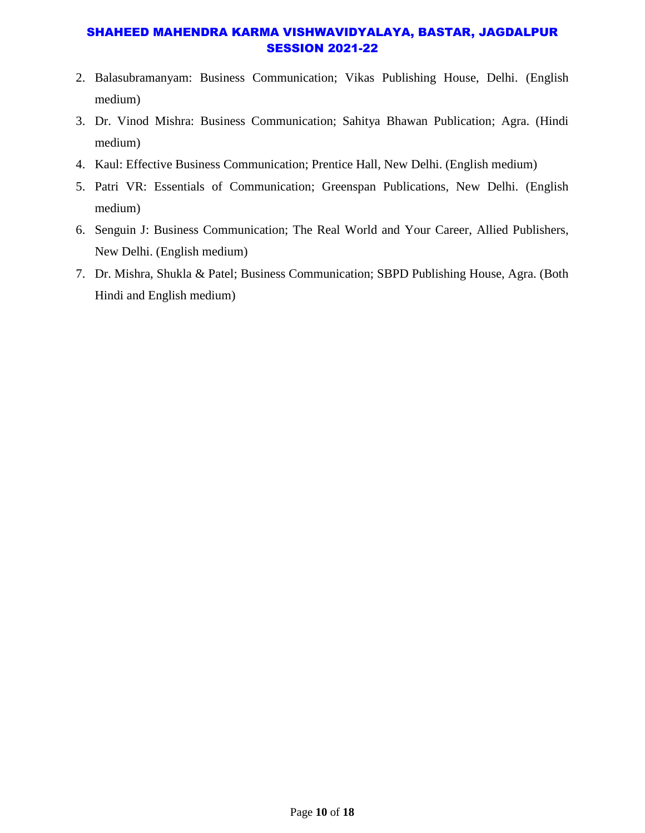- 2. Balasubramanyam: Business Communication; Vikas Publishing House, Delhi. (English medium)
- 3. Dr. Vinod Mishra: Business Communication; Sahitya Bhawan Publication; Agra. (Hindi medium)
- 4. Kaul: Effective Business Communication; Prentice Hall, New Delhi. (English medium)
- 5. Patri VR: Essentials of Communication; Greenspan Publications, New Delhi. (English medium)
- 6. Senguin J: Business Communication; The Real World and Your Career, Allied Publishers, New Delhi. (English medium)
- 7. Dr. Mishra, Shukla & Patel; Business Communication; SBPD Publishing House, Agra. (Both Hindi and English medium)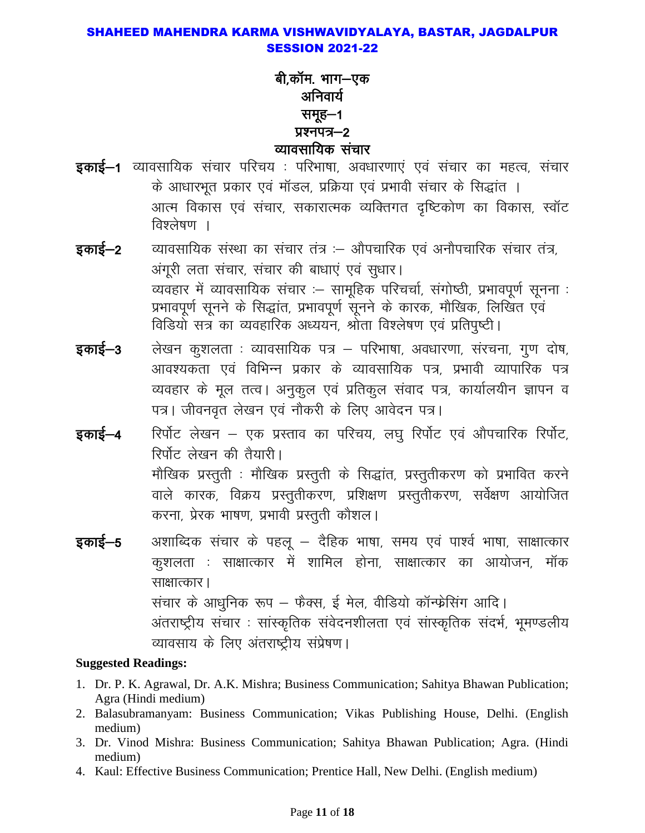## बी,कॉम. भाग-एक अनिवार्य समूह—1  $yx$ नपत्र $-2$ व्यावसायिक संचार

- **डकाई–1** व्यावसायिक संचार परिचय : परिभाषा, अवधारणाएं एवं संचार का महत्व, संचार के आधारभूत प्रकार एवं मॉडल, प्रक्रिया एवं प्रभावी संचार के सिद्धांत । आत्म विकास एवं संचार, सकारात्मक व्यक्तिगत दृष्टिकोण का विकास, स्वॉट विश्लेषण ।
- **इकाई–2** व्यावसायिक संस्था का संचार तंत्र :– औपचारिक एवं अनौपचारिक संचार तंत्र, अंगूरी लता संचार, संचार की बाधाएं एवं सुधार। व्यवहार में व्यावसायिक संचार :- सामूहिक परिचर्चा, संगोष्ठी, प्रभावपूर्ण सूनना : प्रभावपूर्ण सूनने के सिद्धांत, प्रभावपूर्ण सूनने के कारक, मौखिक, लिखित एवं विडियो सत्र का व्यवहारिक अध्ययन, श्रोता विश्लेषण एवं प्रतिपृष्टी।
- **इकाई–3** लेखन कुशलता : व्यावसायिक पत्र परिभाषा, अवधारणा, संरचना, गुण दोष, आवश्यकता एवं विभिन्न प्रकार के व्यावसायिक पत्र, प्रभावी व्यापारिक पत्र व्यवहार के मूल तत्व। अनुकुल एवं प्रतिकुल संवाद पत्र, कार्यालयीन ज्ञापन व पत्र। जीवनवृत लेखन एवं नौकरी के लिए आवेदन पत्र।
- **इकाई–4** रिर्पोट लेखन एक प्रस्ताव का परिचय, लघु रिर्पोट एवं औपचारिक रिर्पोट, रिर्पोट लेखन की तैयारी। मौखिक प्रस्तुती : मौखिक प्रस्तुती के सिद्धांत, प्रस्तुतीकरण को प्रभावित करने वाले कारक, विक्रय प्रस्तुतीकरण, प्रशिक्षण प्रस्तुतीकरण, सर्वेक्षण आयोजित करना, प्रेरक भाषण, प्रभावी प्रस्तुती कौशल।
- **इकाई–5** अशाब्दिक संचार के पहलू दैहिक भाषा, समय एवं पार्श्व भाषा, साक्षात्कार कुशलता : साक्षात्कार में शामिल होना, साक्षात्कार का आयोजन, मॉक साक्षात्कार। संचार के आधुनिक रूप – फैक्स, ई मेल, वीडियो कॉन्फ्रेसिंग आदि। अंतराष्ट्रीय संचार : सांस्कृतिक संवेदनशीलता एवं सांस्कृतिक संदर्भ, भूमण्डलीय व्यावसाय के लिए अंतराष्ट्रीय संप्रेषण।

- 1. Dr. P. K. Agrawal, Dr. A.K. Mishra; Business Communication; Sahitya Bhawan Publication; Agra (Hindi medium)
- 2. Balasubramanyam: Business Communication; Vikas Publishing House, Delhi. (English medium)
- 3. Dr. Vinod Mishra: Business Communication; Sahitya Bhawan Publication; Agra. (Hindi medium)
- 4. Kaul: Effective Business Communication; Prentice Hall, New Delhi. (English medium)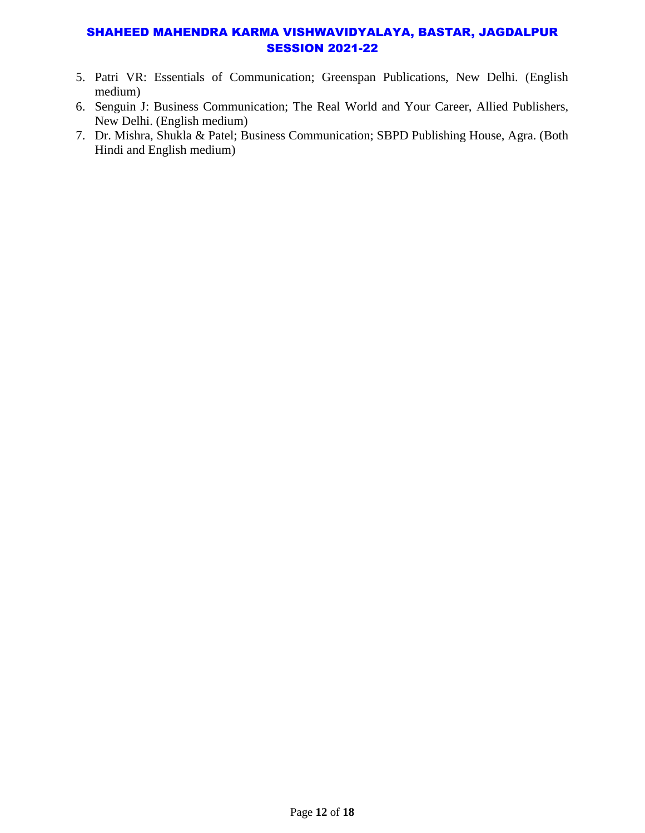- 5. Patri VR: Essentials of Communication; Greenspan Publications, New Delhi. (English medium)
- 6. Senguin J: Business Communication; The Real World and Your Career, Allied Publishers, New Delhi. (English medium)
- 7. Dr. Mishra, Shukla & Patel; Business Communication; SBPD Publishing House, Agra. (Both Hindi and English medium)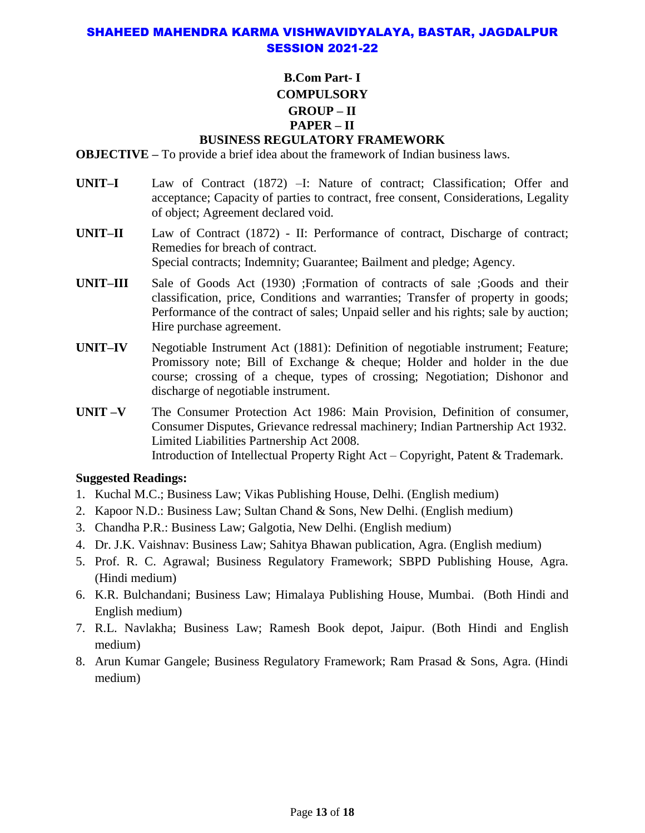#### **B.Com Part- I COMPULSORY GROUP – II PAPER – II BUSINESS REGULATORY FRAMEWORK**

**OBJECTIVE –** To provide a brief idea about the framework of Indian business laws.

- **UNIT–I** Law of Contract (1872) –I: Nature of contract; Classification; Offer and acceptance; Capacity of parties to contract, free consent, Considerations, Legality of object; Agreement declared void.
- **UNIT–II** Law of Contract (1872) II: Performance of contract, Discharge of contract; Remedies for breach of contract. Special contracts; Indemnity; Guarantee; Bailment and pledge; Agency.
- **UNIT–III** Sale of Goods Act (1930) ;Formation of contracts of sale ;Goods and their classification, price, Conditions and warranties; Transfer of property in goods; Performance of the contract of sales; Unpaid seller and his rights; sale by auction; Hire purchase agreement.
- **UNIT–IV** Negotiable Instrument Act (1881): Definition of negotiable instrument; Feature; Promissory note; Bill of Exchange & cheque; Holder and holder in the due course; crossing of a cheque, types of crossing; Negotiation; Dishonor and discharge of negotiable instrument.
- **UNIT –V** The Consumer Protection Act 1986: Main Provision, Definition of consumer, Consumer Disputes, Grievance redressal machinery; Indian Partnership Act 1932. Limited Liabilities Partnership Act 2008. Introduction of Intellectual Property Right Act – Copyright, Patent & Trademark.

- 1. Kuchal M.C.; Business Law; Vikas Publishing House, Delhi. (English medium)
- 2. Kapoor N.D.: Business Law; Sultan Chand & Sons, New Delhi. (English medium)
- 3. Chandha P.R.: Business Law; Galgotia, New Delhi. (English medium)
- 4. Dr. J.K. Vaishnav: Business Law; Sahitya Bhawan publication, Agra. (English medium)
- 5. Prof. R. C. Agrawal; Business Regulatory Framework; SBPD Publishing House, Agra. (Hindi medium)
- 6. K.R. Bulchandani; Business Law; Himalaya Publishing House, Mumbai. (Both Hindi and English medium)
- 7. R.L. Navlakha; Business Law; Ramesh Book depot, Jaipur. (Both Hindi and English medium)
- 8. Arun Kumar Gangele; Business Regulatory Framework; Ram Prasad & Sons, Agra. (Hindi medium)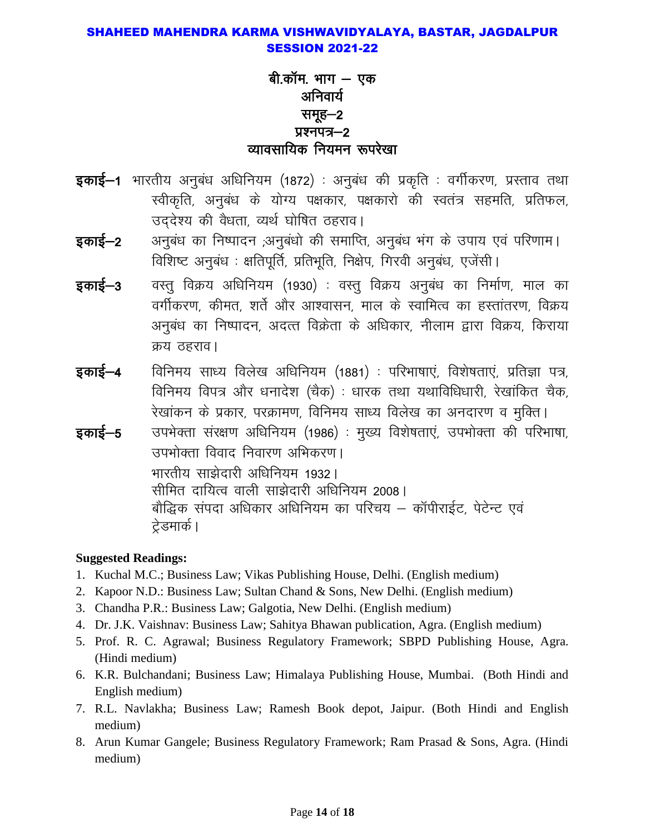## बी.कॉम. भाग — एक अनिवार्य समूह—2 प्रश्नपत्र-2 व्यावसायिक नियमन रूपरेखा

- **इकाई–1** भारतीय अनुबंध अधिनियम (1872) : अनुबंध की प्रकृति : वर्गीकरण, प्रस्ताव तथा स्वीकृति, अनुबंध के योग्य पक्षकार, पक्षकारो की स्वतंत्र सहमति, प्रतिफल, उददेश्य की वैधता, व्यर्थ घोषित ठहराव।
- अनुबंध का निष्पादन ,अनुबंधो की समाप्ति, अनुबंध भंग के उपाय एवं परिणाम। इकाई–2 विशिष्ट अनुबंध: क्षतिपूर्ति, प्रतिभूति, निक्षेप, गिरवी अनुबंध, एजेंसी।
- इकाई—3 वस्तु विक्रय अधिनियम (1930) : वस्तु विक्रय अनुबंध का निर्माण, माल का वर्गीकरण, कीमत, शर्ते और आश्वासन, माल के स्वामित्व का हस्तांतरण, विक्रय अनुबंध का निष्पादन, अदत्त विक्रेता के अधिकार, नीलाम द्वारा विक्रय, किराया क्रय ठहराव।
- विनिमय साध्य विलेख अधिनियम (1881) : परिभाषाएं, विशेषताएं, प्रतिज्ञा पत्र, इकाई–4 विनिमय विपत्र और धनादेश (चैक) : धारक तथा यथाविधिधारी, रेखांकित चैक, रेखांकन के प्रकार, परक्रामण, विनिमय साध्य विलेख का अनदारण व मुक्ति।
- उपभेक्ता संरक्षण अधिनियम (1986) : मुख्य विशेषताएं, उपभोक्ता की परिभाषा, इकाई—5 उपभोक्ता विवाद निवारण अभिकरण । भारतीय साझेदारी अधिनियम 1932। सीमित दायित्व वाली साझेदारी अधिनियम 2008। बौद्धिक संपदा अधिकार अधिनियम का परिचय – कॉपीराईट, पेटेन्ट एवं ट्रेडमार्क।

- 1. Kuchal M.C.; Business Law; Vikas Publishing House, Delhi. (English medium)
- 2. Kapoor N.D.: Business Law; Sultan Chand & Sons, New Delhi. (English medium)
- 3. Chandha P.R.: Business Law; Galgotia, New Delhi. (English medium)
- 4. Dr. J.K. Vaishnav: Business Law; Sahitya Bhawan publication, Agra. (English medium)
- 5. Prof. R. C. Agrawal; Business Regulatory Framework; SBPD Publishing House, Agra. (Hindi medium)
- 6. K.R. Bulchandani; Business Law; Himalaya Publishing House, Mumbai. (Both Hindi and English medium)
- 7. R.L. Navlakha; Business Law; Ramesh Book depot, Jaipur. (Both Hindi and English medium)
- 8. Arun Kumar Gangele; Business Regulatory Framework; Ram Prasad & Sons, Agra. (Hindi medium)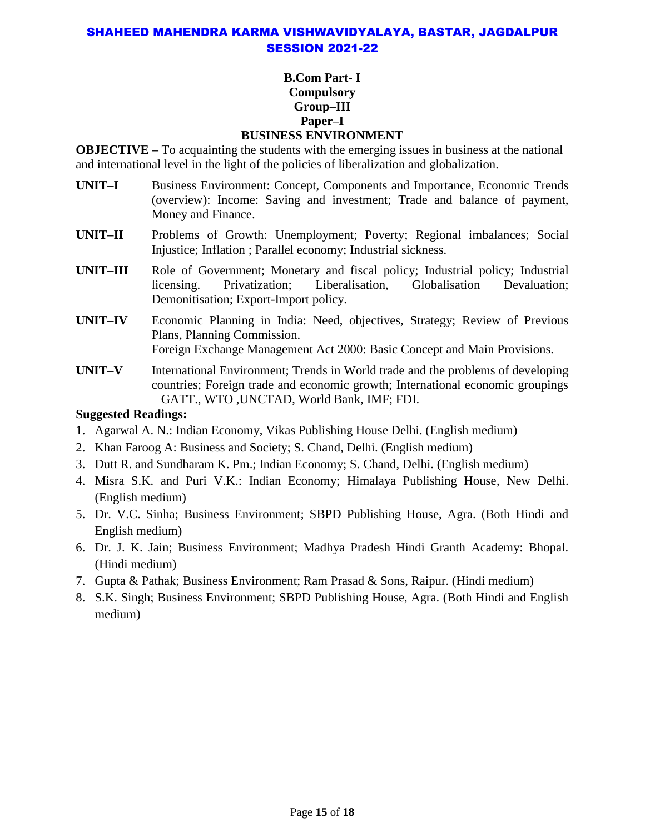#### **B.Com Part- I Compulsory Group–III Paper–I BUSINESS ENVIRONMENT**

**OBJECTIVE** – To acquainting the students with the emerging issues in business at the national and international level in the light of the policies of liberalization and globalization.

- **UNIT–I** Business Environment: Concept, Components and Importance, Economic Trends (overview): Income: Saving and investment; Trade and balance of payment, Money and Finance.
- **UNIT–II** Problems of Growth: Unemployment; Poverty; Regional imbalances; Social Injustice; Inflation ; Parallel economy; Industrial sickness.
- **UNIT–III** Role of Government; Monetary and fiscal policy; Industrial policy; Industrial licensing. Privatization; Liberalisation, Globalisation Devaluation; Demonitisation; Export-Import policy.
- **UNIT–IV** Economic Planning in India: Need, objectives, Strategy; Review of Previous Plans, Planning Commission. Foreign Exchange Management Act 2000: Basic Concept and Main Provisions.
- **UNIT–V** International Environment; Trends in World trade and the problems of developing countries; Foreign trade and economic growth; International economic groupings – GATT., WTO ,UNCTAD, World Bank, IMF; FDI.

- 1. Agarwal A. N.: Indian Economy, Vikas Publishing House Delhi. (English medium)
- 2. Khan Faroog A: Business and Society; S. Chand, Delhi. (English medium)
- 3. Dutt R. and Sundharam K. Pm.; Indian Economy; S. Chand, Delhi. (English medium)
- 4. Misra S.K. and Puri V.K.: Indian Economy; Himalaya Publishing House, New Delhi. (English medium)
- 5. Dr. V.C. Sinha; Business Environment; SBPD Publishing House, Agra. (Both Hindi and English medium)
- 6. Dr. J. K. Jain; Business Environment; Madhya Pradesh Hindi Granth Academy: Bhopal. (Hindi medium)
- 7. Gupta & Pathak; Business Environment; Ram Prasad & Sons, Raipur. (Hindi medium)
- 8. S.K. Singh; Business Environment; SBPD Publishing House, Agra. (Both Hindi and English medium)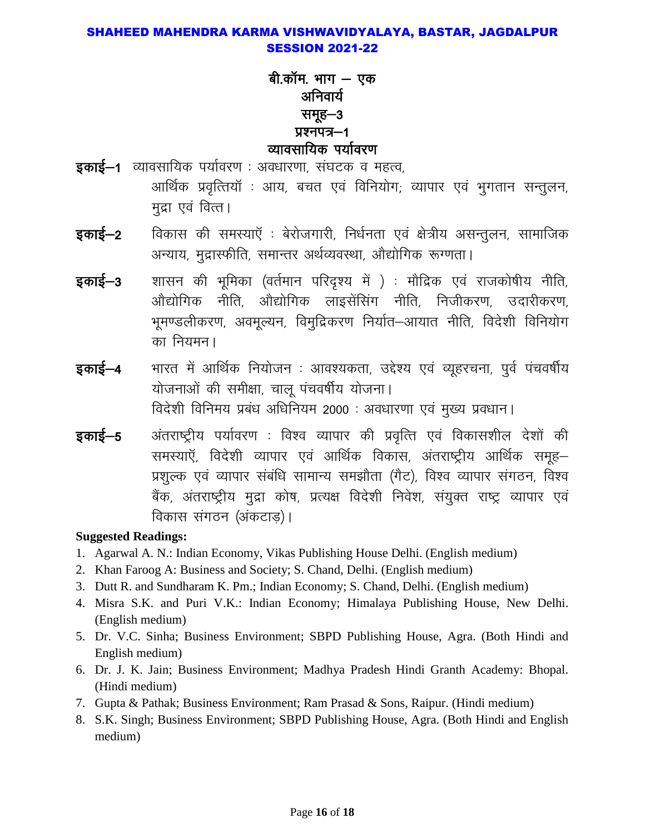## बी.कॉम. भाग — एक अनिवार्य समूह-3 प्रश्नपत्र-1 व्यावसायिक पर्यावरण

- इकाई-1 व्यावसायिक पर्यावरण : अवधारणा, संघटक व महत्व, आर्थिक प्रवृत्तियॉ : आय, बचत एवं विनियोग; व्यापार एवं भुगतान सन्तुलन, मुद्रा एवं वित्त।
- विकास की समस्याएँ : बेरोजगारी, निर्धनता एवं क्षेत्रीय असन्तुलन, सामाजिक इकाई—2 अन्याय, मुद्रास्फीति, समान्तर अर्थव्यवस्था, औद्योगिक रूग्णता।
- शासन की भूमिका (वर्तमान परिदृश्य में ) : मौद्रिक एवं राजकोषीय नीति, इकाई—3 <u>औद्योगिक नीति. औद्योगिक लाइसेंसिंग नीति. निजीकरण. उदारीकरण.</u> भूमण्डलीकरण, अवमूल्यन, विमुद्रिकरण निर्यात–आयात नीति, विदेशी विनियोग का नियमन।
- भारत में आर्थिक नियोजन : आवश्यकता, उद्देश्य एवं व्यूहरचना, पुर्व पंचवर्षीय इकाई–4 योजनाओं की समीक्षा, चाल पंचवर्षीय योजना। विदेशी विनिमय प्रबंध अधिनियम 2000 : अवधारणा एवं मुख्य प्रवधान।
- इकाई—5 अंतराष्ट्रीय पर्यावरण : विश्व व्यापार की प्रवृत्ति एवं विकासशील देशों की समस्याएँ, विदेशी व्यापार एवं आर्थिक विकास, अंतराष्ट्रीय आर्थिक समूह– प्रशुल्क एवं व्यापार संबंधि सामान्य समझौता (गैट), विश्व व्यापार संगठन, विश्व बैंक, अंतराष्ट्रीय मुद्रा कोष, प्रत्यक्ष विदेशी निवेश, संयुक्त राष्ट्र व्यापार एवं विकास संगठन (अंकटाड)।

- 1. Agarwal A. N.: Indian Economy, Vikas Publishing House Delhi. (English medium)
- 2. Khan Faroog A: Business and Society; S. Chand, Delhi. (English medium)
- 3. Dutt R. and Sundharam K. Pm.; Indian Economy; S. Chand, Delhi. (English medium)
- 4. Misra S.K. and Puri V.K.: Indian Economy; Himalaya Publishing House, New Delhi. (English medium)
- 5. Dr. V.C. Sinha; Business Environment; SBPD Publishing House, Agra. (Both Hindi and English medium)
- 6. Dr. J. K. Jain; Business Environment; Madhya Pradesh Hindi Granth Academy: Bhopal. (Hindi medium)
- 7. Gupta & Pathak; Business Environment; Ram Prasad & Sons, Raipur. (Hindi medium)
- 8. S.K. Singh; Business Environment; SBPD Publishing House, Agra. (Both Hindi and English medium)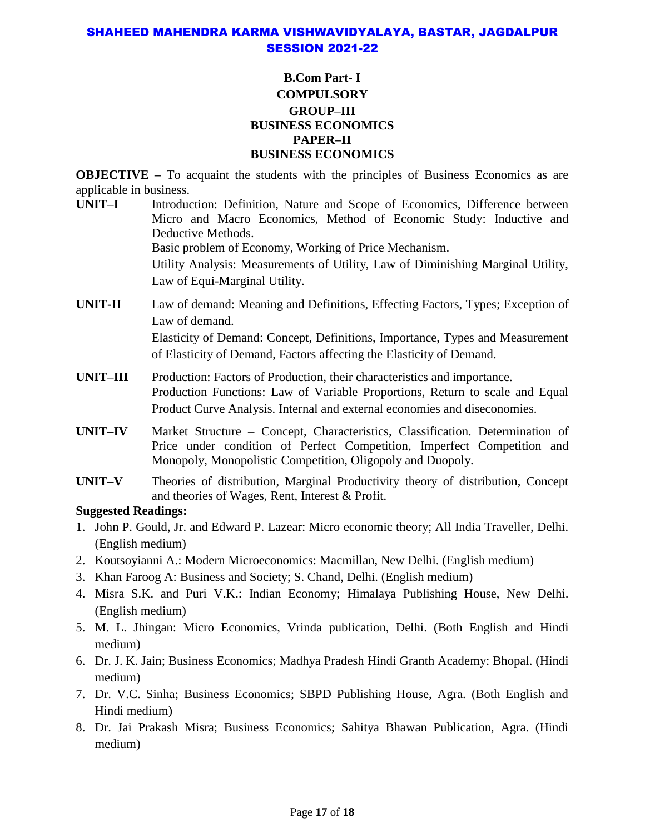#### **B.Com Part- I COMPULSORY GROUP–III BUSINESS ECONOMICS PAPER–II BUSINESS ECONOMICS**

**OBJECTIVE** – To acquaint the students with the principles of Business Economics as are applicable in business.

**UNIT–I** Introduction: Definition, Nature and Scope of Economics, Difference between Micro and Macro Economics, Method of Economic Study: Inductive and Deductive Methods. Basic problem of Economy, Working of Price Mechanism. Utility Analysis: Measurements of Utility, Law of Diminishing Marginal Utility,

Law of Equi-Marginal Utility.

- **UNIT-II** Law of demand: Meaning and Definitions, Effecting Factors, Types; Exception of Law of demand. Elasticity of Demand: Concept, Definitions, Importance, Types and Measurement of Elasticity of Demand, Factors affecting the Elasticity of Demand.
- **UNIT–III** Production: Factors of Production, their characteristics and importance. Production Functions: Law of Variable Proportions, Return to scale and Equal Product Curve Analysis. Internal and external economies and diseconomies.
- **UNIT–IV** Market Structure Concept, Characteristics, Classification. Determination of Price under condition of Perfect Competition, Imperfect Competition and Monopoly, Monopolistic Competition, Oligopoly and Duopoly.
- **UNIT–V** Theories of distribution, Marginal Productivity theory of distribution, Concept and theories of Wages, Rent, Interest & Profit.

- 1. John P. Gould, Jr. and Edward P. Lazear: Micro economic theory; All India Traveller, Delhi. (English medium)
- 2. Koutsoyianni A.: Modern Microeconomics: Macmillan, New Delhi. (English medium)
- 3. Khan Faroog A: Business and Society; S. Chand, Delhi. (English medium)
- 4. Misra S.K. and Puri V.K.: Indian Economy; Himalaya Publishing House, New Delhi. (English medium)
- 5. M. L. Jhingan: Micro Economics, Vrinda publication, Delhi. (Both English and Hindi medium)
- 6. Dr. J. K. Jain; Business Economics; Madhya Pradesh Hindi Granth Academy: Bhopal. (Hindi medium)
- 7. Dr. V.C. Sinha; Business Economics; SBPD Publishing House, Agra. (Both English and Hindi medium)
- 8. Dr. Jai Prakash Misra; Business Economics; Sahitya Bhawan Publication, Agra. (Hindi medium)